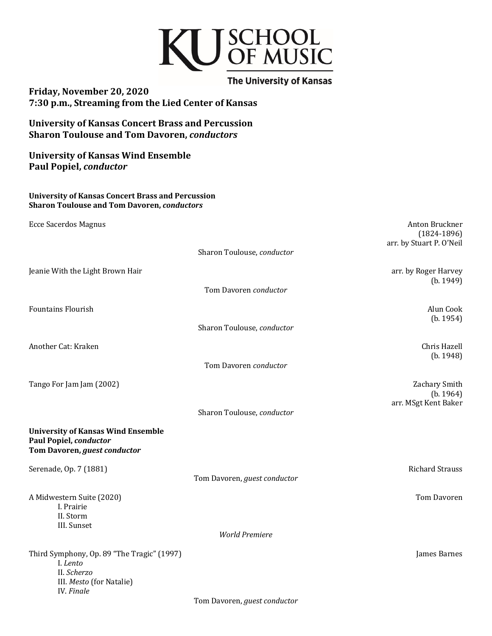# KU SCHOOL<br>OF MUSIC

**The University of Kansas Friday, November 20, 2020 7:30 p.m., Streaming from the Lied Center of Kansas** 

**University of Kansas Concert Brass and Percussion Sharon Toulouse and Tom Davoren,** *conductors*

**University of Kansas Wind Ensemble Paul Popiel,** *conductor*

# **University of Kansas Concert Brass and Percussion Sharon Toulouse and Tom Davoren,** *conductors*

| <b>Ecce Sacerdos Magnus</b>                                                                                            |                              | Anton Bruckner<br>$(1824 - 1896)$ |
|------------------------------------------------------------------------------------------------------------------------|------------------------------|-----------------------------------|
|                                                                                                                        | Sharon Toulouse, conductor   | arr. by Stuart P. O'Neil          |
| Jeanie With the Light Brown Hair                                                                                       |                              | arr. by Roger Harvey<br>(b. 1949) |
|                                                                                                                        | Tom Davoren conductor        |                                   |
| <b>Fountains Flourish</b>                                                                                              |                              | Alun Cook<br>(b. 1954)            |
|                                                                                                                        | Sharon Toulouse, conductor   |                                   |
| Another Cat: Kraken                                                                                                    |                              | Chris Hazell<br>(b. 1948)         |
|                                                                                                                        | Tom Davoren conductor        |                                   |
| Tango For Jam Jam (2002)                                                                                               |                              | Zachary Smith<br>(b. 1964)        |
|                                                                                                                        | Sharon Toulouse, conductor   | arr. MSgt Kent Baker              |
| <b>University of Kansas Wind Ensemble</b><br>Paul Popiel, conductor<br>Tom Davoren, guest conductor                    |                              |                                   |
| Serenade, Op. 7 (1881)                                                                                                 | Tom Davoren, guest conductor | <b>Richard Strauss</b>            |
| A Midwestern Suite (2020)<br>I. Prairie<br>II. Storm<br>III. Sunset                                                    |                              | Tom Davoren                       |
|                                                                                                                        | <b>World Premiere</b>        |                                   |
| Third Symphony, Op. 89 "The Tragic" (1997)<br>I. Lento<br>II. Scherzo<br>III. Mesto (for Natalie)<br><b>IV.</b> Finale |                              | James Barnes                      |
|                                                                                                                        | Tom Davoren, guest conductor |                                   |